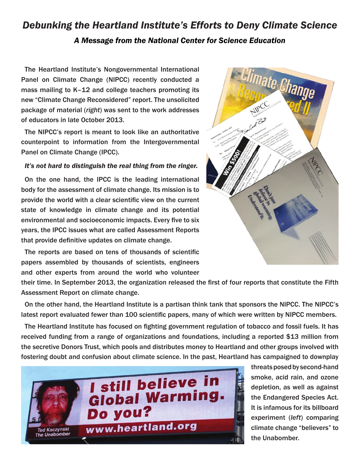## *Debunking the Heartland Institute's Efforts to Deny Climate Science A Message from the National Center for Science Education*

The Heartland Institute's Nongovernmental International Panel on Climate Change (NIPCC) recently conducted a mass mailing to K–12 and college teachers promoting its new "Climate Change Reconsidered" report. The unsolicited package of material (*right*) was sent to the work addresses of educators in late October 2013.

The NIPCC's report is meant to look like an authoritative counterpoint to information from the Intergovernmental Panel on Climate Change (IPCC).

## *It's not hard to distinguish the real thing from the ringer.*

On the one hand, the IPCC is the leading international body for the assessment of climate change. Its mission is to provide the world with a clear scientific view on the current state of knowledge in climate change and its potential environmental and socioeconomic impacts. Every five to six years, the IPCC issues what are called Assessment Reports that provide definitive updates on climate change.

The reports are based on tens of thousands of scientific papers assembled by thousands of scientists, engineers and other experts from around the world who volunteer

their time. In September 2013, the organization released the first of four reports that constitute the Fifth Assessment Report on climate change.

On the other hand, the Heartland Institute is a partisan think tank that sponsors the NIPCC. The NIPCC's latest report evaluated fewer than 100 scientific papers, many of which were written by NIPCC members.

The Heartland Institute has focused on fighting government regulation of tobacco and fossil fuels. It has received funding from a range of organizations and foundations, including a reported \$13 million from the secretive Donors Trust, which pools and distributes money to Heartland and other groups involved with fostering doubt and confusion about climate science. In the past, Heartland has campaigned to downplay





threats posed by second-hand smoke, acid rain, and ozone depletion, as well as against the Endangered Species Act. It is infamous for its billboard experiment (*left*) comparing climate change "believers" to the Unabomber.